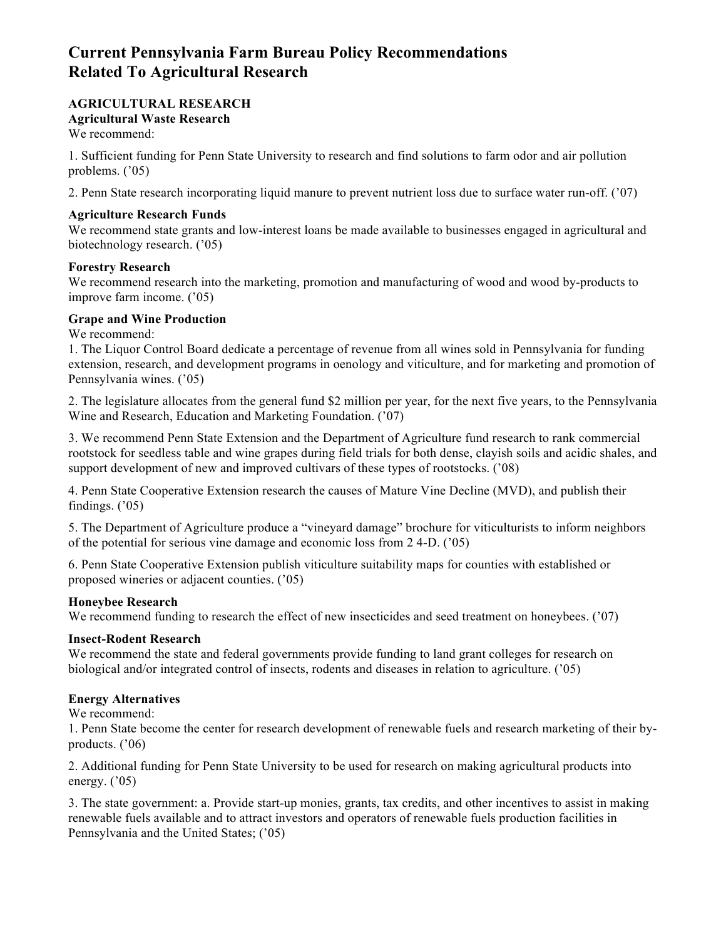# **Current Pennsylvania Farm Bureau Policy Recommendations Related To Agricultural Research**

# **AGRICULTURAL RESEARCH Agricultural Waste Research**

We recommend:

1. Sufficient funding for Penn State University to research and find solutions to farm odor and air pollution problems. ('05)

2. Penn State research incorporating liquid manure to prevent nutrient loss due to surface water run-off. ('07)

### **Agriculture Research Funds**

We recommend state grants and low-interest loans be made available to businesses engaged in agricultural and biotechnology research. ('05)

### **Forestry Research**

We recommend research into the marketing, promotion and manufacturing of wood and wood by-products to improve farm income. ('05)

## **Grape and Wine Production**

We recommend:

1. The Liquor Control Board dedicate a percentage of revenue from all wines sold in Pennsylvania for funding extension, research, and development programs in oenology and viticulture, and for marketing and promotion of Pennsylvania wines. ('05)

2. The legislature allocates from the general fund \$2 million per year, for the next five years, to the Pennsylvania Wine and Research, Education and Marketing Foundation. ('07)

3. We recommend Penn State Extension and the Department of Agriculture fund research to rank commercial rootstock for seedless table and wine grapes during field trials for both dense, clayish soils and acidic shales, and support development of new and improved cultivars of these types of rootstocks. ('08)

4. Penn State Cooperative Extension research the causes of Mature Vine Decline (MVD), and publish their findings.  $('05)$ 

5. The Department of Agriculture produce a "vineyard damage" brochure for viticulturists to inform neighbors of the potential for serious vine damage and economic loss from 2 4-D. ('05)

6. Penn State Cooperative Extension publish viticulture suitability maps for counties with established or proposed wineries or adjacent counties. ('05)

#### **Honeybee Research**

We recommend funding to research the effect of new insecticides and seed treatment on honeybees. ('07)

## **Insect-Rodent Research**

We recommend the state and federal governments provide funding to land grant colleges for research on biological and/or integrated control of insects, rodents and diseases in relation to agriculture. ('05)

#### **Energy Alternatives**

We recommend:

1. Penn State become the center for research development of renewable fuels and research marketing of their byproducts. ('06)

2. Additional funding for Penn State University to be used for research on making agricultural products into energy. ('05)

3. The state government: a. Provide start-up monies, grants, tax credits, and other incentives to assist in making renewable fuels available and to attract investors and operators of renewable fuels production facilities in Pennsylvania and the United States; ('05)